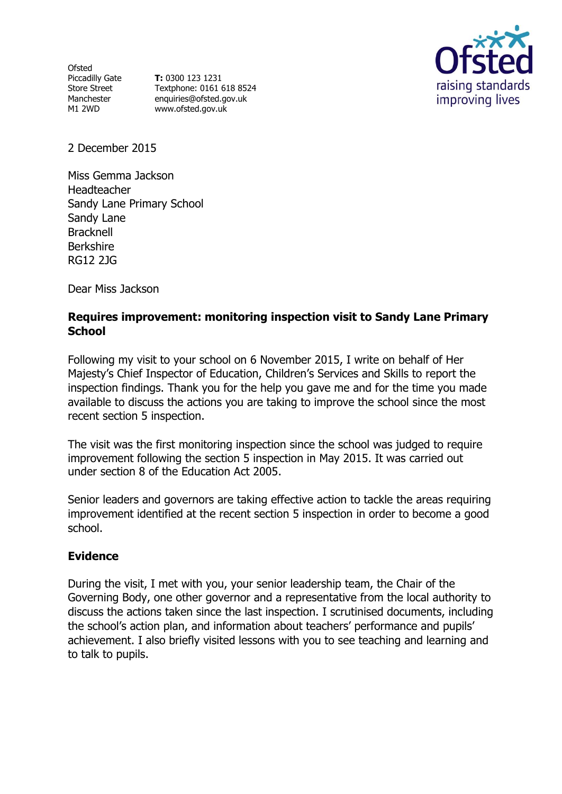Ofsted Piccadilly Gate Store Street Manchester M1 2WD

**T:** 0300 123 1231 Textphone: 0161 618 8524 enquiries@ofsted.gov.uk www.ofsted.gov.uk



2 December 2015

Miss Gemma Jackson Headteacher Sandy Lane Primary School Sandy Lane Bracknell Berkshire RG12 2JG

Dear Miss Jackson

## **Requires improvement: monitoring inspection visit to Sandy Lane Primary School**

Following my visit to your school on 6 November 2015, I write on behalf of Her Majesty's Chief Inspector of Education, Children's Services and Skills to report the inspection findings. Thank you for the help you gave me and for the time you made available to discuss the actions you are taking to improve the school since the most recent section 5 inspection.

The visit was the first monitoring inspection since the school was judged to require improvement following the section 5 inspection in May 2015. It was carried out under section 8 of the Education Act 2005.

Senior leaders and governors are taking effective action to tackle the areas requiring improvement identified at the recent section 5 inspection in order to become a good school.

## **Evidence**

During the visit, I met with you, your senior leadership team, the Chair of the Governing Body, one other governor and a representative from the local authority to discuss the actions taken since the last inspection. I scrutinised documents, including the school's action plan, and information about teachers' performance and pupils' achievement. I also briefly visited lessons with you to see teaching and learning and to talk to pupils.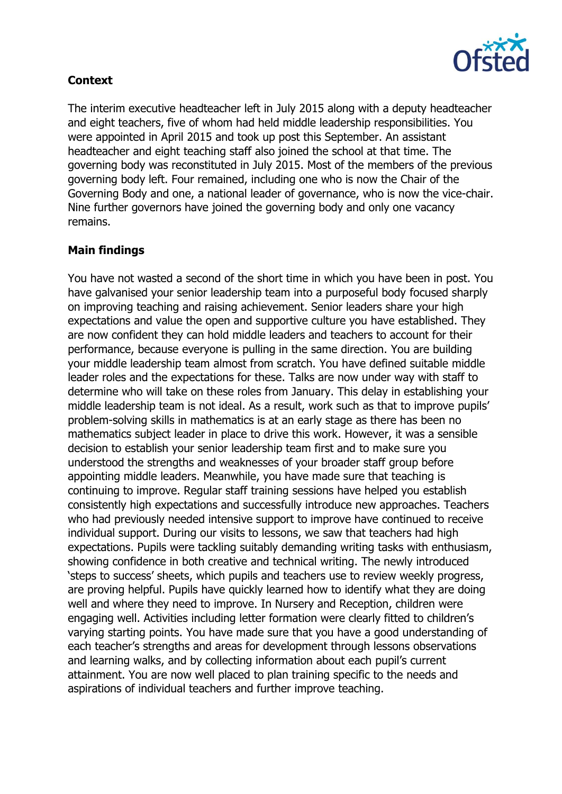

# **Context**

The interim executive headteacher left in July 2015 along with a deputy headteacher and eight teachers, five of whom had held middle leadership responsibilities. You were appointed in April 2015 and took up post this September. An assistant headteacher and eight teaching staff also joined the school at that time. The governing body was reconstituted in July 2015. Most of the members of the previous governing body left. Four remained, including one who is now the Chair of the Governing Body and one, a national leader of governance, who is now the vice-chair. Nine further governors have joined the governing body and only one vacancy remains.

## **Main findings**

You have not wasted a second of the short time in which you have been in post. You have galvanised your senior leadership team into a purposeful body focused sharply on improving teaching and raising achievement. Senior leaders share your high expectations and value the open and supportive culture you have established. They are now confident they can hold middle leaders and teachers to account for their performance, because everyone is pulling in the same direction. You are building your middle leadership team almost from scratch. You have defined suitable middle leader roles and the expectations for these. Talks are now under way with staff to determine who will take on these roles from January. This delay in establishing your middle leadership team is not ideal. As a result, work such as that to improve pupils' problem-solving skills in mathematics is at an early stage as there has been no mathematics subject leader in place to drive this work. However, it was a sensible decision to establish your senior leadership team first and to make sure you understood the strengths and weaknesses of your broader staff group before appointing middle leaders. Meanwhile, you have made sure that teaching is continuing to improve. Regular staff training sessions have helped you establish consistently high expectations and successfully introduce new approaches. Teachers who had previously needed intensive support to improve have continued to receive individual support. During our visits to lessons, we saw that teachers had high expectations. Pupils were tackling suitably demanding writing tasks with enthusiasm, showing confidence in both creative and technical writing. The newly introduced 'steps to success' sheets, which pupils and teachers use to review weekly progress, are proving helpful. Pupils have quickly learned how to identify what they are doing well and where they need to improve. In Nursery and Reception, children were engaging well. Activities including letter formation were clearly fitted to children's varying starting points. You have made sure that you have a good understanding of each teacher's strengths and areas for development through lessons observations and learning walks, and by collecting information about each pupil's current attainment. You are now well placed to plan training specific to the needs and aspirations of individual teachers and further improve teaching.